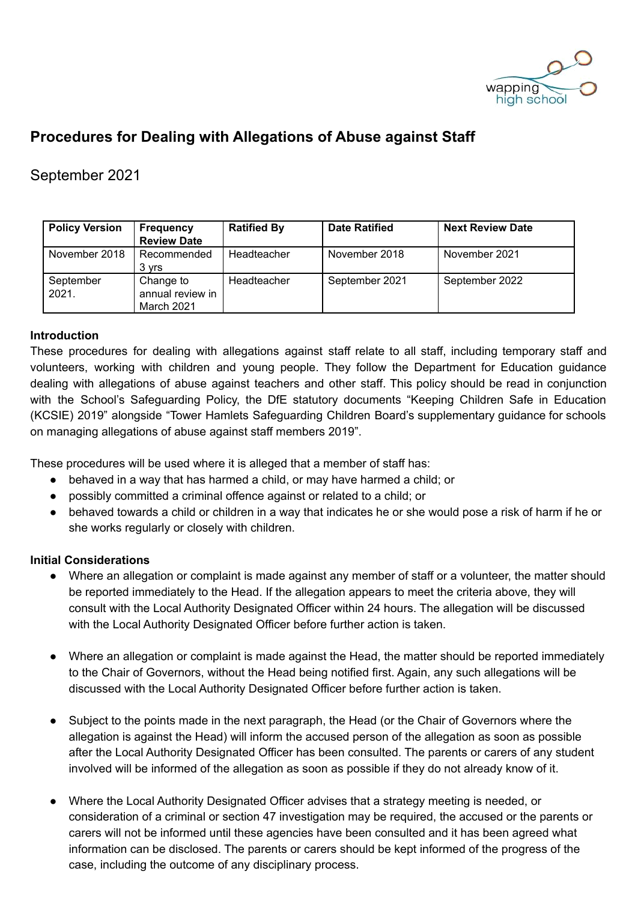

# **Procedures for Dealing with Allegations of Abuse against Staff**

# September 2021

| <b>Policy Version</b> | Frequency<br><b>Review Date</b>             | <b>Ratified By</b> | <b>Date Ratified</b> | <b>Next Review Date</b> |
|-----------------------|---------------------------------------------|--------------------|----------------------|-------------------------|
| November 2018         | Recommended<br>3 yrs                        | Headteacher        | November 2018        | November 2021           |
| September<br>2021.    | Change to<br>annual review in<br>March 2021 | Headteacher        | September 2021       | September 2022          |

# **Introduction**

These procedures for dealing with allegations against staff relate to all staff, including temporary staff and volunteers, working with children and young people. They follow the Department for Education guidance dealing with allegations of abuse against teachers and other staff. This policy should be read in conjunction with the School's Safeguarding Policy, the DfE statutory documents "Keeping Children Safe in Education (KCSIE) 2019" alongside "Tower Hamlets Safeguarding Children Board's supplementary guidance for schools on managing allegations of abuse against staff members 2019".

These procedures will be used where it is alleged that a member of staff has:

- behaved in a way that has harmed a child, or may have harmed a child; or
- possibly committed a criminal offence against or related to a child; or
- behaved towards a child or children in a way that indicates he or she would pose a risk of harm if he or she works regularly or closely with children.

#### **Initial Considerations**

- Where an allegation or complaint is made against any member of staff or a volunteer, the matter should be reported immediately to the Head. If the allegation appears to meet the criteria above, they will consult with the Local Authority Designated Officer within 24 hours. The allegation will be discussed with the Local Authority Designated Officer before further action is taken.
- Where an allegation or complaint is made against the Head, the matter should be reported immediately to the Chair of Governors, without the Head being notified first. Again, any such allegations will be discussed with the Local Authority Designated Officer before further action is taken.
- Subject to the points made in the next paragraph, the Head (or the Chair of Governors where the allegation is against the Head) will inform the accused person of the allegation as soon as possible after the Local Authority Designated Officer has been consulted. The parents or carers of any student involved will be informed of the allegation as soon as possible if they do not already know of it.
- Where the Local Authority Designated Officer advises that a strategy meeting is needed, or consideration of a criminal or section 47 investigation may be required, the accused or the parents or carers will not be informed until these agencies have been consulted and it has been agreed what information can be disclosed. The parents or carers should be kept informed of the progress of the case, including the outcome of any disciplinary process.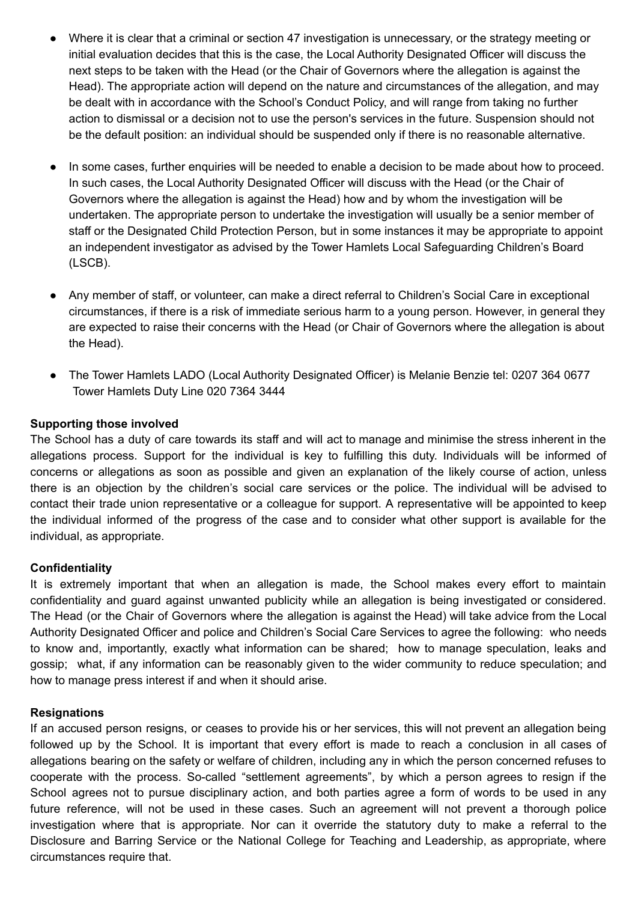- Where it is clear that a criminal or section 47 investigation is unnecessary, or the strategy meeting or initial evaluation decides that this is the case, the Local Authority Designated Officer will discuss the next steps to be taken with the Head (or the Chair of Governors where the allegation is against the Head). The appropriate action will depend on the nature and circumstances of the allegation, and may be dealt with in accordance with the School's Conduct Policy, and will range from taking no further action to dismissal or a decision not to use the person's services in the future. Suspension should not be the default position: an individual should be suspended only if there is no reasonable alternative.
- In some cases, further enquiries will be needed to enable a decision to be made about how to proceed. In such cases, the Local Authority Designated Officer will discuss with the Head (or the Chair of Governors where the allegation is against the Head) how and by whom the investigation will be undertaken. The appropriate person to undertake the investigation will usually be a senior member of staff or the Designated Child Protection Person, but in some instances it may be appropriate to appoint an independent investigator as advised by the Tower Hamlets Local Safeguarding Children's Board (LSCB).
- Any member of staff, or volunteer, can make a direct referral to Children's Social Care in exceptional circumstances, if there is a risk of immediate serious harm to a young person. However, in general they are expected to raise their concerns with the Head (or Chair of Governors where the allegation is about the Head).
- The Tower Hamlets LADO (Local Authority Designated Officer) is Melanie Benzie tel: 0207 364 0677 Tower Hamlets Duty Line 020 7364 3444

# **Supporting those involved**

The School has a duty of care towards its staff and will act to manage and minimise the stress inherent in the allegations process. Support for the individual is key to fulfilling this duty. Individuals will be informed of concerns or allegations as soon as possible and given an explanation of the likely course of action, unless there is an objection by the children's social care services or the police. The individual will be advised to contact their trade union representative or a colleague for support. A representative will be appointed to keep the individual informed of the progress of the case and to consider what other support is available for the individual, as appropriate.

#### **Confidentiality**

It is extremely important that when an allegation is made, the School makes every effort to maintain confidentiality and guard against unwanted publicity while an allegation is being investigated or considered. The Head (or the Chair of Governors where the allegation is against the Head) will take advice from the Local Authority Designated Officer and police and Children's Social Care Services to agree the following: who needs to know and, importantly, exactly what information can be shared; how to manage speculation, leaks and gossip; what, if any information can be reasonably given to the wider community to reduce speculation; and how to manage press interest if and when it should arise.

#### **Resignations**

If an accused person resigns, or ceases to provide his or her services, this will not prevent an allegation being followed up by the School. It is important that every effort is made to reach a conclusion in all cases of allegations bearing on the safety or welfare of children, including any in which the person concerned refuses to cooperate with the process. So-called "settlement agreements", by which a person agrees to resign if the School agrees not to pursue disciplinary action, and both parties agree a form of words to be used in any future reference, will not be used in these cases. Such an agreement will not prevent a thorough police investigation where that is appropriate. Nor can it override the statutory duty to make a referral to the Disclosure and Barring Service or the National College for Teaching and Leadership, as appropriate, where circumstances require that.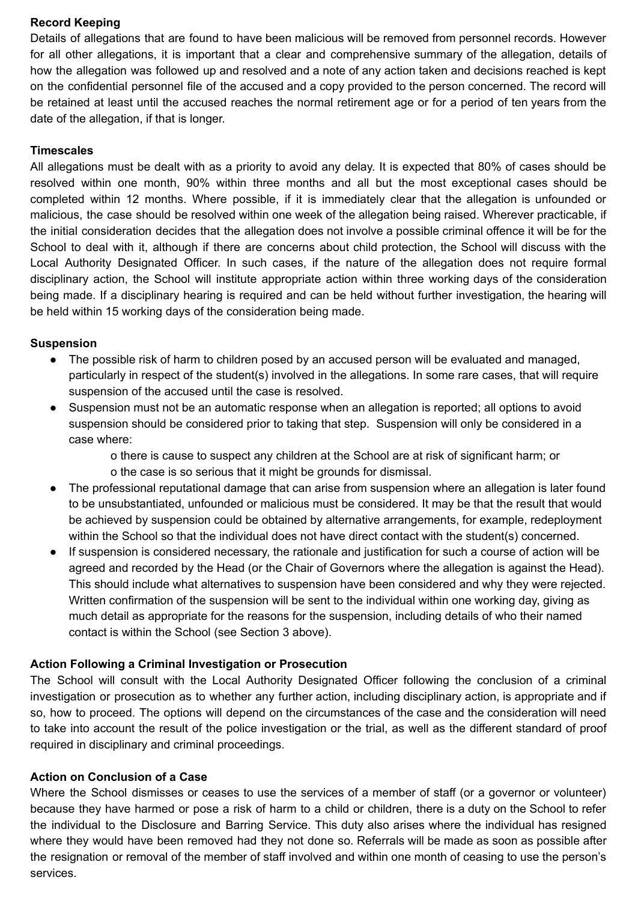# **Record Keeping**

Details of allegations that are found to have been malicious will be removed from personnel records. However for all other allegations, it is important that a clear and comprehensive summary of the allegation, details of how the allegation was followed up and resolved and a note of any action taken and decisions reached is kept on the confidential personnel file of the accused and a copy provided to the person concerned. The record will be retained at least until the accused reaches the normal retirement age or for a period of ten years from the date of the allegation, if that is longer.

### **Timescales**

All allegations must be dealt with as a priority to avoid any delay. It is expected that 80% of cases should be resolved within one month, 90% within three months and all but the most exceptional cases should be completed within 12 months. Where possible, if it is immediately clear that the allegation is unfounded or malicious, the case should be resolved within one week of the allegation being raised. Wherever practicable, if the initial consideration decides that the allegation does not involve a possible criminal offence it will be for the School to deal with it, although if there are concerns about child protection, the School will discuss with the Local Authority Designated Officer. In such cases, if the nature of the allegation does not require formal disciplinary action, the School will institute appropriate action within three working days of the consideration being made. If a disciplinary hearing is required and can be held without further investigation, the hearing will be held within 15 working days of the consideration being made.

#### **Suspension**

- The possible risk of harm to children posed by an accused person will be evaluated and managed, particularly in respect of the student(s) involved in the allegations. In some rare cases, that will require suspension of the accused until the case is resolved.
- Suspension must not be an automatic response when an allegation is reported; all options to avoid suspension should be considered prior to taking that step. Suspension will only be considered in a case where:

o there is cause to suspect any children at the School are at risk of significant harm; or o the case is so serious that it might be grounds for dismissal.

- The professional reputational damage that can arise from suspension where an allegation is later found to be unsubstantiated, unfounded or malicious must be considered. It may be that the result that would be achieved by suspension could be obtained by alternative arrangements, for example, redeployment within the School so that the individual does not have direct contact with the student(s) concerned.
- If suspension is considered necessary, the rationale and justification for such a course of action will be agreed and recorded by the Head (or the Chair of Governors where the allegation is against the Head). This should include what alternatives to suspension have been considered and why they were rejected. Written confirmation of the suspension will be sent to the individual within one working day, giving as much detail as appropriate for the reasons for the suspension, including details of who their named contact is within the School (see Section 3 above).

# **Action Following a Criminal Investigation or Prosecution**

The School will consult with the Local Authority Designated Officer following the conclusion of a criminal investigation or prosecution as to whether any further action, including disciplinary action, is appropriate and if so, how to proceed. The options will depend on the circumstances of the case and the consideration will need to take into account the result of the police investigation or the trial, as well as the different standard of proof required in disciplinary and criminal proceedings.

# **Action on Conclusion of a Case**

Where the School dismisses or ceases to use the services of a member of staff (or a governor or volunteer) because they have harmed or pose a risk of harm to a child or children, there is a duty on the School to refer the individual to the Disclosure and Barring Service. This duty also arises where the individual has resigned where they would have been removed had they not done so. Referrals will be made as soon as possible after the resignation or removal of the member of staff involved and within one month of ceasing to use the person's services.